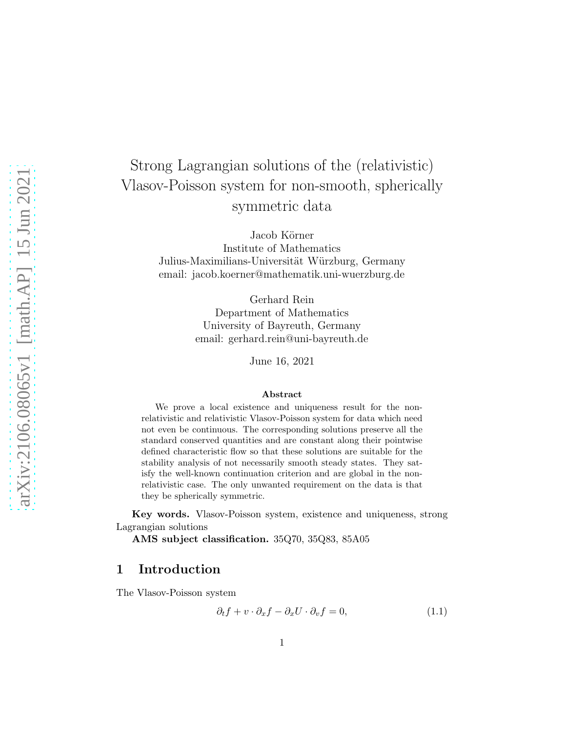# Strong Lagrangian solutions of the (relativistic) Vlasov-Poisson system for non-smooth, spherically symmetric data

Jacob Körner Institute of Mathematics Julius-Maximilians-Universität Würzburg, Germany email: jacob.koerner@mathematik.uni-wuerzburg.de

> Gerhard Rein Department of Mathematics University of Bayreuth, Germany email: gerhard.rein@uni-bayreuth.de

> > June 16, 2021

#### Abstract

We prove a local existence and uniqueness result for the nonrelativistic and relativistic Vlasov-Poisson system for data which need not even be continuous. The corresponding solutions preserve all the standard conserved quantities and are constant along their pointwise defined characteristic flow so that these solutions are suitable for the stability analysis of not necessarily smooth steady states. They satisfy the well-known continuation criterion and are global in the nonrelativistic case. The only unwanted requirement on the data is that they be spherically symmetric.

Key words. Vlasov-Poisson system, existence and uniqueness, strong Lagrangian solutions

AMS subject classification. 35Q70, 35Q83, 85A05

## 1 Introduction

The Vlasov-Poisson system

<span id="page-0-0"></span>
$$
\partial_t f + v \cdot \partial_x f - \partial_x U \cdot \partial_v f = 0, \qquad (1.1)
$$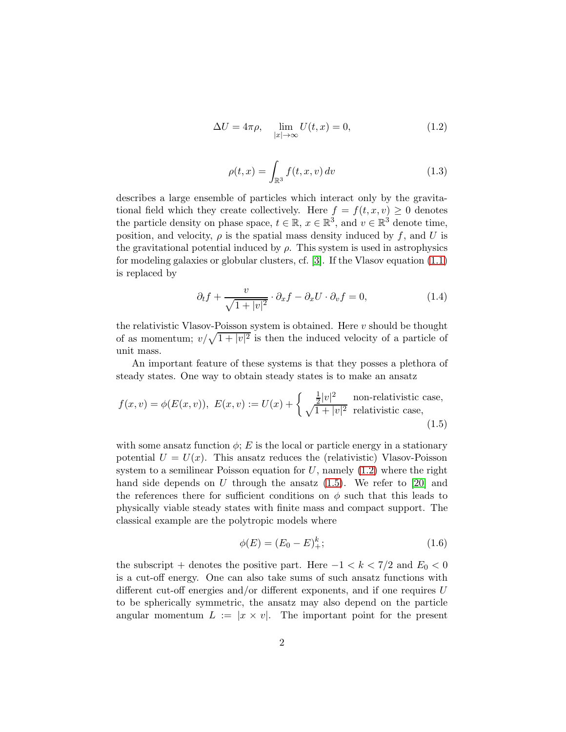$$
\Delta U = 4\pi \rho, \quad \lim_{|x| \to \infty} U(t, x) = 0,\tag{1.2}
$$

<span id="page-1-0"></span>
$$
\rho(t,x) = \int_{\mathbb{R}^3} f(t,x,v) dv
$$
\n(1.3)

describes a large ensemble of particles which interact only by the gravitational field which they create collectively. Here  $f = f(t, x, v) \geq 0$  denotes the particle density on phase space,  $t \in \mathbb{R}$ ,  $x \in \mathbb{R}^3$ , and  $v \in \mathbb{R}^3$  denote time, position, and velocity,  $\rho$  is the spatial mass density induced by f, and U is the gravitational potential induced by  $\rho$ . This system is used in astrophysics for modeling galaxies or globular clusters, cf. [\[3\]](#page-15-0). If the Vlasov equation [\(1.1\)](#page-0-0) is replaced by

$$
\partial_t f + \frac{v}{\sqrt{1+|v|^2}} \cdot \partial_x f - \partial_x U \cdot \partial_v f = 0, \tag{1.4}
$$

the relativistic Vlasov-Poisson system is obtained. Here  $v$  should be thought of as momentum;  $v/\sqrt{1+|v|^2}$  is then the induced velocity of a particle of unit mass.

An important feature of these systems is that they posses a plethora of steady states. One way to obtain steady states is to make an ansatz

$$
f(x,v) = \phi(E(x,v)), \ E(x,v) := U(x) + \begin{cases} \frac{1}{2}|v|^2 & \text{non-relativistic case,} \\ \sqrt{1+|v|^2} & \text{relativistic case,} \end{cases}
$$
(1.5)

with some ansatz function  $\phi$ ; E is the local or particle energy in a stationary potential  $U = U(x)$ . This ansatz reduces the (relativistic) Vlasov-Poisson system to a semilinear Poisson equation for  $U$ , namely  $(1.2)$  where the right hand side depends on  $U$  through the ansatz  $(1.5)$ . We refer to  $[20]$  and the references there for sufficient conditions on  $\phi$  such that this leads to physically viable steady states with finite mass and compact support. The classical example are the polytropic models where

<span id="page-1-2"></span><span id="page-1-1"></span>
$$
\phi(E) = (E_0 - E)_{+}^{k};\tag{1.6}
$$

the subscript + denotes the positive part. Here  $-1 < k < 7/2$  and  $E_0 < 0$ is a cut-off energy. One can also take sums of such ansatz functions with different cut-off energies and/or different exponents, and if one requires U to be spherically symmetric, the ansatz may also depend on the particle angular momentum  $L := |x \times v|$ . The important point for the present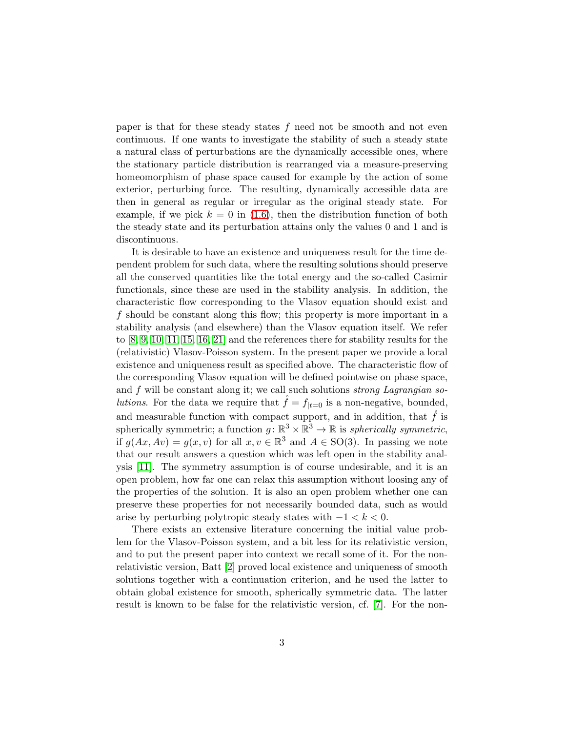paper is that for these steady states  $f$  need not be smooth and not even continuous. If one wants to investigate the stability of such a steady state a natural class of perturbations are the dynamically accessible ones, where the stationary particle distribution is rearranged via a measure-preserving homeomorphism of phase space caused for example by the action of some exterior, perturbing force. The resulting, dynamically accessible data are then in general as regular or irregular as the original steady state. For example, if we pick  $k = 0$  in [\(1.6\)](#page-1-2), then the distribution function of both the steady state and its perturbation attains only the values 0 and 1 and is discontinuous.

It is desirable to have an existence and uniqueness result for the time dependent problem for such data, where the resulting solutions should preserve all the conserved quantities like the total energy and the so-called Casimir functionals, since these are used in the stability analysis. In addition, the characteristic flow corresponding to the Vlasov equation should exist and f should be constant along this flow; this property is more important in a stability analysis (and elsewhere) than the Vlasov equation itself. We refer to [\[8,](#page-16-0) [9,](#page-16-1) [10,](#page-16-2) [11,](#page-16-3) [15,](#page-16-4) [16,](#page-16-5) [21\]](#page-17-1) and the references there for stability results for the (relativistic) Vlasov-Poisson system. In the present paper we provide a local existence and uniqueness result as specified above. The characteristic flow of the corresponding Vlasov equation will be defined pointwise on phase space, and  $f$  will be constant along it; we call such solutions *strong Lagrangian so*lutions. For the data we require that  $\tilde{f} = f_{|t=0}$  is a non-negative, bounded, and measurable function with compact support, and in addition, that  $\check{f}$  is spherically symmetric; a function  $g: \mathbb{R}^3 \times \mathbb{R}^3 \to \mathbb{R}$  is *spherically symmetric*, if  $g(Ax, Av) = g(x, v)$  for all  $x, v \in \mathbb{R}^3$  and  $A \in SO(3)$ . In passing we note that our result answers a question which was left open in the stability analysis [\[11\]](#page-16-3). The symmetry assumption is of course undesirable, and it is an open problem, how far one can relax this assumption without loosing any of the properties of the solution. It is also an open problem whether one can preserve these properties for not necessarily bounded data, such as would arise by perturbing polytropic steady states with  $-1 < k < 0$ .

There exists an extensive literature concerning the initial value problem for the Vlasov-Poisson system, and a bit less for its relativistic version, and to put the present paper into context we recall some of it. For the nonrelativistic version, Batt [\[2\]](#page-15-1) proved local existence and uniqueness of smooth solutions together with a continuation criterion, and he used the latter to obtain global existence for smooth, spherically symmetric data. The latter result is known to be false for the relativistic version, cf. [\[7\]](#page-16-6). For the non-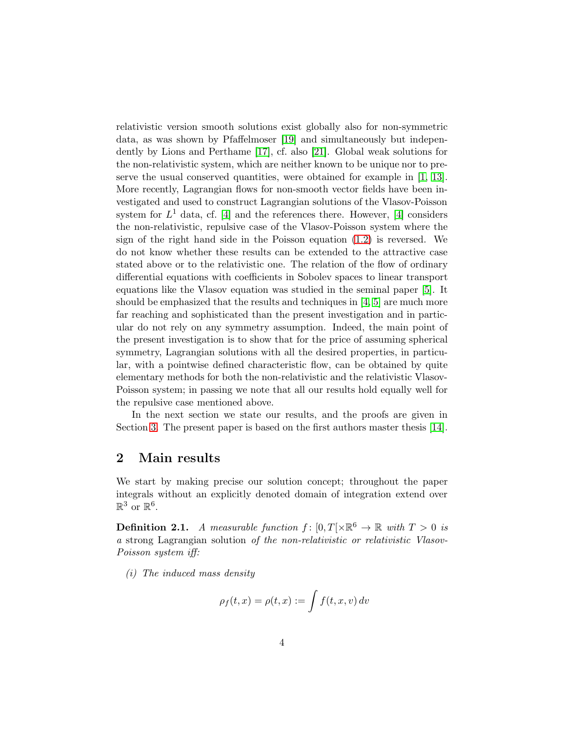relativistic version smooth solutions exist globally also for non-symmetric data, as was shown by Pfaffelmoser [\[19\]](#page-17-2) and simultaneously but independently by Lions and Perthame [\[17\]](#page-16-7), cf. also [\[21\]](#page-17-1). Global weak solutions for the non-relativistic system, which are neither known to be unique nor to preserve the usual conserved quantities, were obtained for example in [\[1,](#page-15-2) [13\]](#page-16-8). More recently, Lagrangian flows for non-smooth vector fields have been investigated and used to construct Lagrangian solutions of the Vlasov-Poisson system for  $L^1$  data, cf. [\[4\]](#page-15-3) and the references there. However, [4] considers the non-relativistic, repulsive case of the Vlasov-Poisson system where the sign of the right hand side in the Poisson equation [\(1.2\)](#page-1-0) is reversed. We do not know whether these results can be extended to the attractive case stated above or to the relativistic one. The relation of the flow of ordinary differential equations with coefficients in Sobolev spaces to linear transport equations like the Vlasov equation was studied in the seminal paper [\[5\]](#page-15-4). It should be emphasized that the results and techniques in  $[4, 5]$  $[4, 5]$  are much more far reaching and sophisticated than the present investigation and in particular do not rely on any symmetry assumption. Indeed, the main point of the present investigation is to show that for the price of assuming spherical symmetry, Lagrangian solutions with all the desired properties, in particular, with a pointwise defined characteristic flow, can be obtained by quite elementary methods for both the non-relativistic and the relativistic Vlasov-Poisson system; in passing we note that all our results hold equally well for the repulsive case mentioned above.

In the next section we state our results, and the proofs are given in Section [3.](#page-5-0) The present paper is based on the first authors master thesis [\[14\]](#page-16-9).

## 2 Main results

We start by making precise our solution concept; throughout the paper integrals without an explicitly denoted domain of integration extend over  $\mathbb{R}^3$  or  $\mathbb{R}^6$ .

<span id="page-3-0"></span>**Definition 2.1.** A measurable function  $f : [0, T] \times \mathbb{R}^6 \to \mathbb{R}$  with  $T > 0$  is a strong Lagrangian solution of the non-relativistic or relativistic Vlasov-Poisson system iff:

(i) The induced mass density

$$
\rho_f(t,x) = \rho(t,x) := \int f(t,x,v) \, dv
$$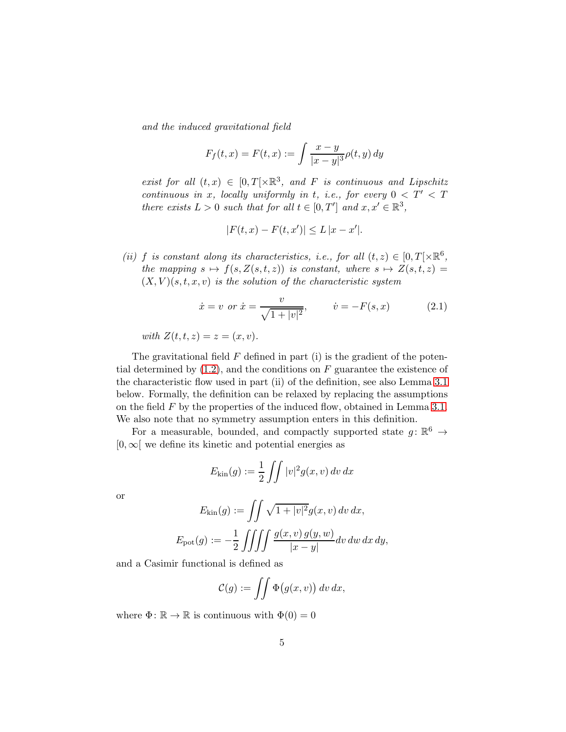and the induced gravitational field

$$
F_f(t, x) = F(t, x) := \int \frac{x - y}{|x - y|^3} \rho(t, y) dy
$$

exist for all  $(t, x) \in [0, T[\times \mathbb{R}^3, \text{ and } F \text{ is continuous and Lipschitz}]$ continuous in x, locally uniformly in t, i.e., for every  $0 < T' < T$ there exists  $L > 0$  such that for all  $t \in [0, T']$  and  $x, x' \in \mathbb{R}^3$ ,

<span id="page-4-0"></span>
$$
|F(t, x) - F(t, x')| \le L |x - x'|.
$$

(ii) f is constant along its characteristics, i.e., for all  $(t, z) \in [0, T] \times \mathbb{R}^6$ , the mapping  $s \mapsto f(s, Z(s, t, z))$  is constant, where  $s \mapsto Z(s, t, z)$  $(X, V)(s, t, x, v)$  is the solution of the characteristic system

$$
\dot{x} = v \text{ or } \dot{x} = \frac{v}{\sqrt{1 + |v|^2}}, \qquad \dot{v} = -F(s, x)
$$
\n(2.1)

with  $Z(t, t, z) = z = (x, v)$ .

The gravitational field  $F$  defined in part (i) is the gradient of the potential determined by  $(1.2)$ , and the conditions on F guarantee the existence of the characteristic flow used in part (ii) of the definition, see also Lemma [3.1](#page-5-1) below. Formally, the definition can be relaxed by replacing the assumptions on the field  $F$  by the properties of the induced flow, obtained in Lemma [3.1.](#page-5-1) We also note that no symmetry assumption enters in this definition.

For a measurable, bounded, and compactly supported state  $g: \mathbb{R}^6 \to$  $[0,\infty]$  we define its kinetic and potential energies as

$$
E_{\text{kin}}(g) := \frac{1}{2} \iint |v|^2 g(x, v) \, dv \, dx
$$

or

$$
E_{\text{kin}}(g) := \iint \sqrt{1+|v|^2} g(x,v) dv dx,
$$
  

$$
E_{\text{pot}}(g) := -\frac{1}{2} \iiint \int \int \frac{g(x,v) g(y,w)}{|x-y|} dv dw dx dy,
$$

and a Casimir functional is defined as

$$
\mathcal{C}(g) := \iint \Phi(g(x,v)) \, dv \, dx,
$$

where  $\Phi: \mathbb{R} \to \mathbb{R}$  is continuous with  $\Phi(0) = 0$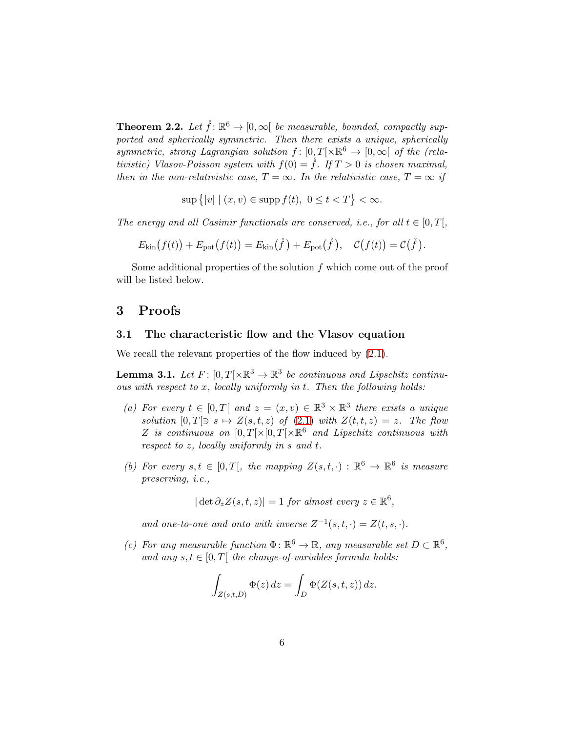<span id="page-5-2"></span>**Theorem 2.2.** Let  $\mathring{f} : \mathbb{R}^6 \to [0, \infty[$  be measurable, bounded, compactly supported and spherically symmetric. Then there exists a unique, spherically symmetric, strong Lagrangian solution  $f: [0,T] \times \mathbb{R}^6 \to [0,\infty]$  of the (relativistic) Vlasov-Poisson system with  $f(0) = \check{f}$ . If  $T > 0$  is chosen maximal, then in the non-relativistic case,  $T = \infty$ . In the relativistic case,  $T = \infty$  if

 $\sup \{|v| \mid (x,v) \in \text{supp } f(t), \ 0 \le t < T\} < \infty.$ 

The energy and all Casimir functionals are conserved, i.e., for all  $t \in [0, T]$ ,

$$
E_{\text{kin}}(f(t)) + E_{\text{pot}}(f(t)) = E_{\text{kin}}(\mathring{f}) + E_{\text{pot}}(\mathring{f}), \quad C(f(t)) = C(\mathring{f}).
$$

Some additional properties of the solution f which come out of the proof will be listed below.

## <span id="page-5-0"></span>3 Proofs

### 3.1 The characteristic flow and the Vlasov equation

We recall the relevant properties of the flow induced by  $(2.1)$ .

<span id="page-5-1"></span>**Lemma 3.1.** Let  $F: [0,T[ \times \mathbb{R}^3 \to \mathbb{R}^3$  be continuous and Lipschitz continuous with respect to  $x$ , locally uniformly in  $t$ . Then the following holds:

- (a) For every  $t \in [0,T]$  and  $z = (x,v) \in \mathbb{R}^3 \times \mathbb{R}^3$  there exists a unique solution  $[0, T] \ni s \mapsto Z(s, t, z)$  of  $(2.1)$  with  $Z(t, t, z) = z$ . The flow Z is continuous on  $[0,T] \times [0,T] \times \mathbb{R}^6$  and Lipschitz continuous with respect to z, locally uniformly in s and t.
- (b) For every  $s, t \in [0, T]$ , the mapping  $Z(s,t, \cdot) : \mathbb{R}^6 \to \mathbb{R}^6$  is measure preserving, i.e.,

 $|\det \partial_z Z(s,t,z)| = 1$  for almost every  $z \in \mathbb{R}^6$ ,

and one-to-one and onto with inverse  $Z^{-1}(s,t,\cdot) = Z(t,s,\cdot)$ .

(c) For any measurable function  $\Phi \colon \mathbb{R}^6 \to \mathbb{R}$ , any measurable set  $D \subset \mathbb{R}^6$ , and any  $s, t \in [0, T]$  the change-of-variables formula holds:

$$
\int_{Z(s,t,D)} \Phi(z) dz = \int_D \Phi(Z(s,t,z)) dz.
$$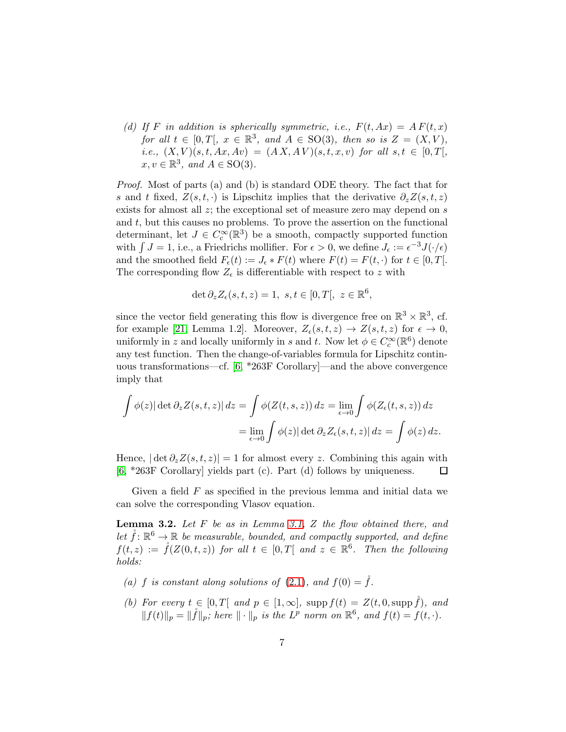(d) If F in addition is spherically symmetric, i.e.,  $F(t, Ax) = AF(t, x)$ for all  $t \in [0,T], x \in \mathbb{R}^3$ , and  $A \in SO(3)$ , then so is  $Z = (X, V)$ , i.e.,  $(X, V)(s, t, Ax, Av) = (AX, AV)(s, t, x, v)$  for all  $s, t \in [0, T],$  $x, v \in \mathbb{R}^3$ , and  $A \in SO(3)$ .

Proof. Most of parts (a) and (b) is standard ODE theory. The fact that for s and t fixed,  $Z(s,t, \cdot)$  is Lipschitz implies that the derivative  $\partial_z Z(s,t,z)$ exists for almost all  $z$ ; the exceptional set of measure zero may depend on  $s$ and  $t$ , but this causes no problems. To prove the assertion on the functional determinant, let  $J \in C_c^{\infty}(\mathbb{R}^3)$  be a smooth, compactly supported function with  $\int J = 1$ , i.e., a Friedrichs mollifier. For  $\epsilon > 0$ , we define  $J_{\epsilon} := \epsilon^{-3} J(\cdot/\epsilon)$ and the smoothed field  $F_{\epsilon}(t) := J_{\epsilon} * F(t)$  where  $F(t) = F(t, \cdot)$  for  $t \in [0, T]$ . The corresponding flow  $Z_{\epsilon}$  is differentiable with respect to z with

$$
\det \partial_z Z_{\epsilon}(s, t, z) = 1, \ s, t \in [0, T[, \ z \in \mathbb{R}^6,
$$

since the vector field generating this flow is divergence free on  $\mathbb{R}^3 \times \mathbb{R}^3$ , cf. for example [\[21,](#page-17-1) Lemma 1.2]. Moreover,  $Z_{\epsilon}(s,t,z) \rightarrow Z(s,t,z)$  for  $\epsilon \rightarrow 0$ , uniformly in z and locally uniformly in s and t. Now let  $\phi \in C_c^{\infty}(\mathbb{R}^6)$  denote any test function. Then the change-of-variables formula for Lipschitz continuous transformations—cf. [\[6,](#page-16-10) \*263F Corollary]—and the above convergence imply that

$$
\int \phi(z) |\det \partial_z Z(s, t, z)| dz = \int \phi(Z(t, s, z)) dz = \lim_{\epsilon \to 0} \int \phi(Z_{\epsilon}(t, s, z)) dz
$$

$$
= \lim_{\epsilon \to 0} \int \phi(z) |\det \partial_z Z_{\epsilon}(s, t, z)| dz = \int \phi(z) dz.
$$

Hence,  $|\det \partial_z Z(s,t,z)| = 1$  for almost every z. Combining this again with [\[6,](#page-16-10) \*263F Corollary] yields part (c). Part (d) follows by uniqueness.  $\Box$ 

Given a field  $F$  as specified in the previous lemma and initial data we can solve the corresponding Vlasov equation.

<span id="page-6-0"></span>**Lemma 3.2.** Let  $F$  be as in Lemma [3.1,](#page-5-1)  $Z$  the flow obtained there, and let  $\mathring{f} \colon \mathbb{R}^6 \to \mathbb{R}$  be measurable, bounded, and compactly supported, and define  $f(t, z) := \r{f}(Z(0,t,z))$  for all  $t \in [0,T[$  and  $z \in \mathbb{R}^6$ . Then the following holds:

- (a) f is constant along solutions of [\(2.1\)](#page-4-0), and  $f(0) = \mathring{f}$ .
- (b) For every  $t \in [0, T[$  and  $p \in [1, \infty],$  supp  $f(t) = Z(t, 0, \text{supp }\widetilde{f}),$  and  $||f(t)||_p = ||\mathring{f}||_p$ ; here  $|| \cdot ||_p$  is the  $L^p$  norm on  $\mathbb{R}^6$ , and  $f(t) = f(t, \cdot)$ .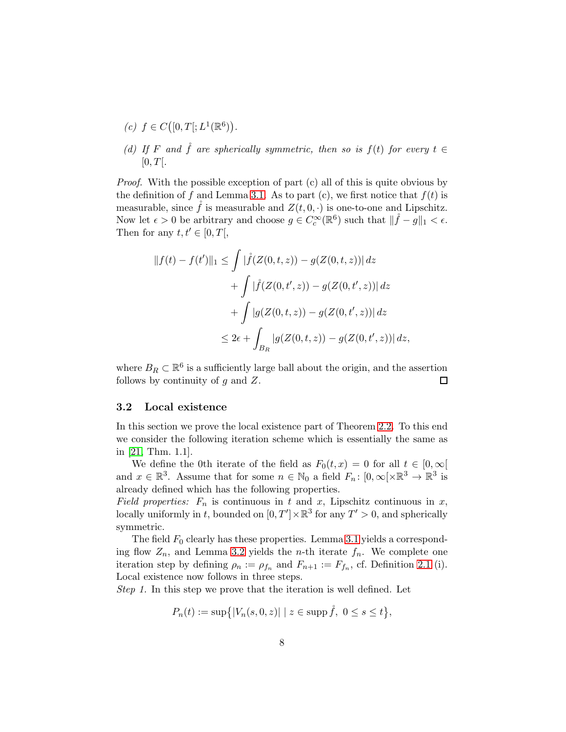- (c)  $f \in C([0,T[;L^1(\mathbb{R}^6))$ .
- (d) If F and  $\hat{f}$  are spherically symmetric, then so is  $f(t)$  for every  $t \in$  $[0, T[$ .

Proof. With the possible exception of part (c) all of this is quite obvious by the definition of f and Lemma [3.1.](#page-5-1) As to part (c), we first notice that  $f(t)$  is measurable, since  $\hat{f}$  is measurable and  $Z(t, 0, \cdot)$  is one-to-one and Lipschitz. Now let  $\epsilon > 0$  be arbitrary and choose  $g \in C_c^{\infty}(\mathbb{R}^6)$  such that  $\|\mathring{f} - g\|_1 < \epsilon$ . Then for any  $t, t' \in [0, T]$ ,

$$
||f(t) - f(t')||_1 \le \int |\mathring{f}(Z(0, t, z)) - g(Z(0, t, z))| dz
$$
  
+ 
$$
\int |\mathring{f}(Z(0, t', z)) - g(Z(0, t', z))| dz
$$
  
+ 
$$
\int |g(Z(0, t, z)) - g(Z(0, t', z))| dz
$$
  

$$
\le 2\epsilon + \int_{B_R} |g(Z(0, t, z)) - g(Z(0, t', z))| dz,
$$

where  $B_R \subset \mathbb{R}^6$  is a sufficiently large ball about the origin, and the assertion follows by continuity of  $q$  and  $Z$ .  $\Box$ 

#### 3.2 Local existence

In this section we prove the local existence part of Theorem [2.2.](#page-5-2) To this end we consider the following iteration scheme which is essentially the same as in [\[21,](#page-17-1) Thm. 1.1].

We define the 0th iterate of the field as  $F_0(t, x) = 0$  for all  $t \in [0, \infty)$ and  $x \in \mathbb{R}^3$ . Assume that for some  $n \in \mathbb{N}_0$  a field  $F_n: [0, \infty[\times \mathbb{R}^3 \to \mathbb{R}^3]$  is already defined which has the following properties.

Field properties:  $F_n$  is continuous in t and x, Lipschitz continuous in x, locally uniformly in t, bounded on  $[0, T'] \times \mathbb{R}^3$  for any  $T' > 0$ , and spherically symmetric.

The field  $F_0$  clearly has these properties. Lemma [3.1](#page-5-1) yields a corresponding flow  $Z_n$ , and Lemma [3.2](#page-6-0) yields the *n*-th iterate  $f_n$ . We complete one iteration step by defining  $\rho_n := \rho_{f_n}$  and  $F_{n+1} := F_{f_n}$ , cf. Definition [2.1](#page-3-0) (i). Local existence now follows in three steps.

Step 1. In this step we prove that the iteration is well defined. Let

$$
P_n(t) := \sup\{|V_n(s, 0, z)| \mid z \in \text{supp}\,\mathring{f},\ 0 \le s \le t\},\
$$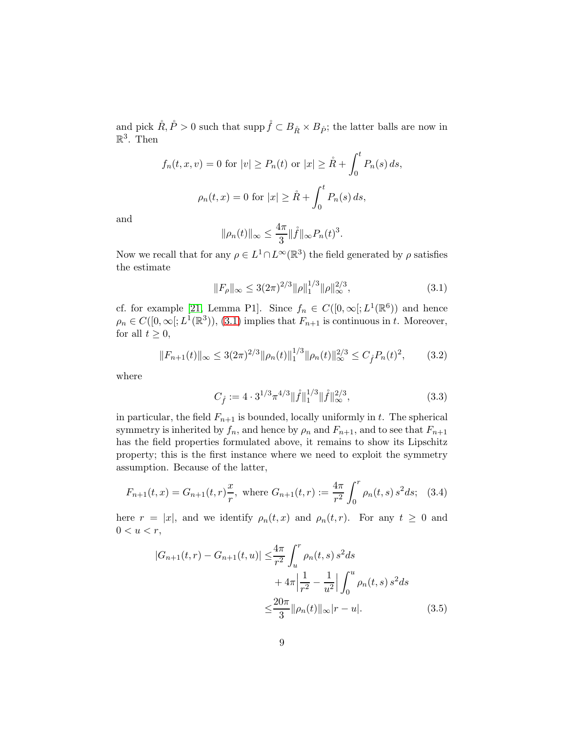and pick  $\mathring{R}, \mathring{P} > 0$  such that supp  $\mathring{f} \subset B_{\mathring{R}} \times B_{\mathring{P}}$ ; the latter balls are now in  $\mathbb{R}^3$ . Then

$$
f_n(t, x, v) = 0
$$
 for  $|v| \ge P_n(t)$  or  $|x| \ge \mathring{R} + \int_0^t P_n(s) ds$ ,  
 $\rho_n(t, x) = 0$  for  $|x| \ge \mathring{R} + \int_0^t P_n(s) ds$ ,

and

<span id="page-8-0"></span>
$$
\|\rho_n(t)\|_{\infty} \le \frac{4\pi}{3} \|\mathring{f}\|_{\infty} P_n(t)^3.
$$

Now we recall that for any  $\rho \in L^1 \cap L^\infty(\mathbb{R}^3)$  the field generated by  $\rho$  satisfies the estimate

$$
||F_{\rho}||_{\infty} \le 3(2\pi)^{2/3} ||\rho||_1^{1/3} ||\rho||_{\infty}^{2/3},
$$
\n(3.1)

cf. for example [\[21,](#page-17-1) Lemma P1]. Since  $f_n \in C([0,\infty[;L^1(\mathbb{R}^6))$  and hence  $\rho_n \in C([0,\infty[;L^1(\mathbb{R}^3)), (3.1)$  $\rho_n \in C([0,\infty[;L^1(\mathbb{R}^3)), (3.1)$  implies that  $F_{n+1}$  is continuous in t. Moreover, for all  $t \geq 0$ ,

$$
||F_{n+1}(t)||_{\infty} \le 3(2\pi)^{2/3} ||\rho_n(t)||_1^{1/3} ||\rho_n(t)||_{\infty}^{2/3} \le C_f^2 P_n(t)^2, \qquad (3.2)
$$

where

<span id="page-8-4"></span><span id="page-8-3"></span><span id="page-8-2"></span>
$$
C_{\mathring{f}} := 4 \cdot 3^{1/3} \pi^{4/3} ||\mathring{f}||_1^{1/3} ||\mathring{f}||_{\infty}^{2/3},\tag{3.3}
$$

in particular, the field  $F_{n+1}$  is bounded, locally uniformly in t. The spherical symmetry is inherited by  $f_n$ , and hence by  $\rho_n$  and  $F_{n+1}$ , and to see that  $F_{n+1}$ has the field properties formulated above, it remains to show its Lipschitz property; this is the first instance where we need to exploit the symmetry assumption. Because of the latter,

$$
F_{n+1}(t,x) = G_{n+1}(t,r)\frac{x}{r}, \text{ where } G_{n+1}(t,r) := \frac{4\pi}{r^2} \int_0^r \rho_n(t,s) s^2 ds; \quad (3.4)
$$

here  $r = |x|$ , and we identify  $\rho_n(t, x)$  and  $\rho_n(t, r)$ . For any  $t \geq 0$  and  $0 < u < r$ ,

<span id="page-8-1"></span>
$$
|G_{n+1}(t,r) - G_{n+1}(t,u)| \leq \frac{4\pi}{r^2} \int_u^r \rho_n(t,s) s^2 ds
$$
  
+  $4\pi \left| \frac{1}{r^2} - \frac{1}{u^2} \right| \int_0^u \rho_n(t,s) s^2 ds$   
 $\leq \frac{20\pi}{3} ||\rho_n(t)||_{\infty} |r - u|.$  (3.5)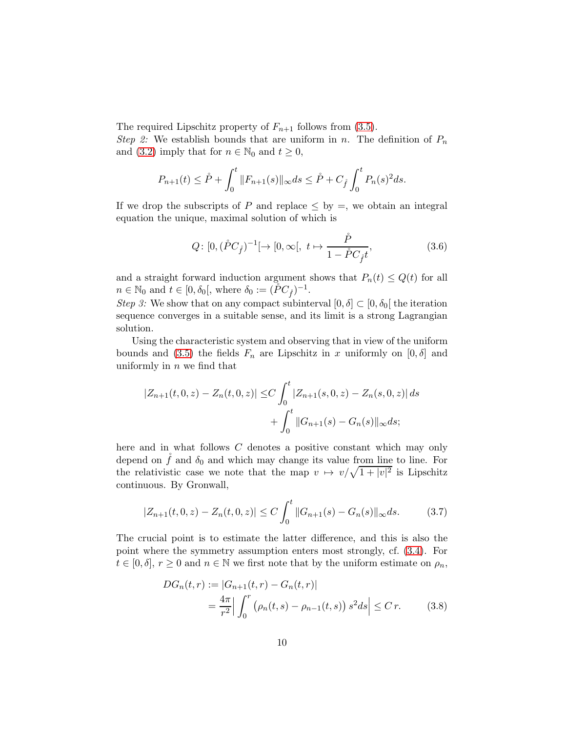The required Lipschitz property of  $F_{n+1}$  follows from [\(3.5\)](#page-8-1).

Step 2: We establish bounds that are uniform in n. The definition of  $P_n$ and [\(3.2\)](#page-8-2) imply that for  $n \in \mathbb{N}_0$  and  $t \geq 0$ ,

$$
P_{n+1}(t) \leq \overset{\circ}{P} + \int_0^t \|F_{n+1}(s)\|_{\infty} ds \leq \overset{\circ}{P} + C_{\overset{\circ}{f}} \int_0^t P_n(s)^2 ds.
$$

If we drop the subscripts of P and replace  $\leq$  by  $=$ , we obtain an integral equation the unique, maximal solution of which is

$$
Q: [0, (\mathring{P}C_{\mathring{f}})^{-1} [ \to [0, \infty[, t \mapsto \frac{\mathring{P}}{1 - \mathring{P}C_{\mathring{f}}t}, \tag{3.6}
$$

and a straight forward induction argument shows that  $P_n(t) \leq Q(t)$  for all  $n \in \mathbb{N}_0$  and  $t \in [0, \delta_0[,$  where  $\delta_0 := (\r{PC}_{\r{f}})^{-1}.$ 

Step 3: We show that on any compact subinterval  $[0, \delta] \subset [0, \delta_0]$  the iteration sequence converges in a suitable sense, and its limit is a strong Lagrangian solution.

Using the characteristic system and observing that in view of the uniform bounds and [\(3.5\)](#page-8-1) the fields  $F_n$  are Lipschitz in x uniformly on  $[0, \delta]$  and uniformly in  $n$  we find that

$$
|Z_{n+1}(t,0,z) - Z_n(t,0,z)| \le C \int_0^t |Z_{n+1}(s,0,z) - Z_n(s,0,z)| ds
$$
  
+ 
$$
\int_0^t ||G_{n+1}(s) - G_n(s)||_{\infty} ds;
$$

here and in what follows C denotes a positive constant which may only depend on  $\check{f}$  and  $\delta_0$  and which may change its value from line to line. For the relativistic case we note that the map  $v \mapsto v/\sqrt{1+|v|^2}$  is Lipschitz continuous. By Gronwall,

$$
|Z_{n+1}(t,0,z) - Z_n(t,0,z)| \le C \int_0^t ||G_{n+1}(s) - G_n(s)||_{\infty} ds.
$$
 (3.7)

The crucial point is to estimate the latter difference, and this is also the point where the symmetry assumption enters most strongly, cf. [\(3.4\)](#page-8-3). For  $t \in [0, \delta], r \geq 0$  and  $n \in \mathbb{N}$  we first note that by the uniform estimate on  $\rho_n$ ,

<span id="page-9-1"></span><span id="page-9-0"></span>
$$
DG_n(t,r) := |G_{n+1}(t,r) - G_n(t,r)|
$$
  
=  $\frac{4\pi}{r^2} \left| \int_0^r \left( \rho_n(t,s) - \rho_{n-1}(t,s) \right) s^2 ds \right| \leq C r.$  (3.8)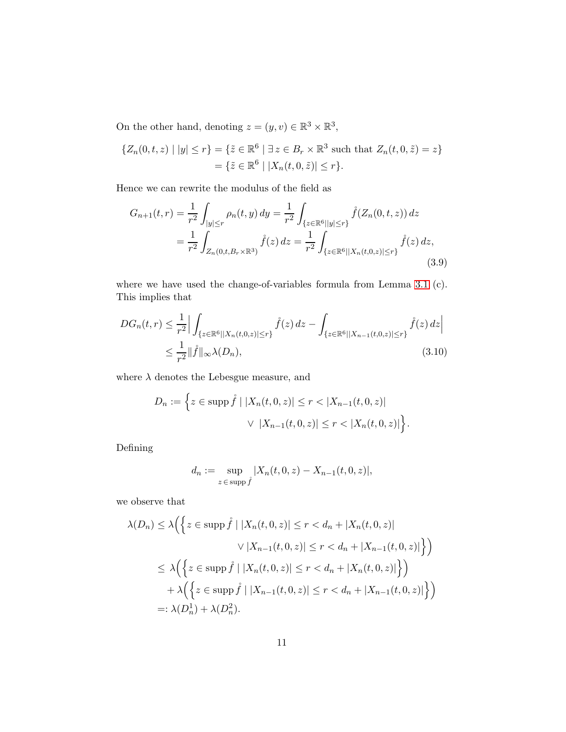On the other hand, denoting  $z = (y, v) \in \mathbb{R}^3 \times \mathbb{R}^3$ ,

$$
\{Z_n(0, t, z) \mid |y| \le r\} = \{\tilde{z} \in \mathbb{R}^6 \mid \exists z \in B_r \times \mathbb{R}^3 \text{ such that } Z_n(t, 0, \tilde{z}) = z\}
$$

$$
= \{\tilde{z} \in \mathbb{R}^6 \mid |X_n(t, 0, \tilde{z})| \le r\}.
$$

Hence we can rewrite the modulus of the field as

<span id="page-10-1"></span>
$$
G_{n+1}(t,r) = \frac{1}{r^2} \int_{|y| \le r} \rho_n(t,y) \, dy = \frac{1}{r^2} \int_{\{z \in \mathbb{R}^6 | |y| \le r\}} \mathring{f}(Z_n(0,t,z)) \, dz
$$

$$
= \frac{1}{r^2} \int_{Z_n(0,t,B_r \times \mathbb{R}^3)} \mathring{f}(z) \, dz = \frac{1}{r^2} \int_{\{z \in \mathbb{R}^6 | |X_n(t,0,z)| \le r\}} \mathring{f}(z) \, dz,
$$
(3.9)

where we have used the change-of-variables formula from Lemma [3.1](#page-5-1) (c). This implies that

$$
DG_n(t,r) \leq \frac{1}{r^2} \Big| \int_{\{z \in \mathbb{R}^6 | |X_n(t,0,z)| \leq r\}} \mathring{f}(z) dz - \int_{\{z \in \mathbb{R}^6 | |X_{n-1}(t,0,z)| \leq r\}} \mathring{f}(z) dz \Big|
$$
  
 
$$
\leq \frac{1}{r^2} \| \mathring{f} \|_{\infty} \lambda(D_n), \tag{3.10}
$$

where  $\lambda$  denotes the Lebesgue measure, and

$$
D_n := \left\{ z \in \text{supp} \, \mathring{f} \mid |X_n(t, 0, z)| \le r < |X_{n-1}(t, 0, z)| \right\}.
$$
\n
$$
\vee \, |X_{n-1}(t, 0, z)| \le r < |X_n(t, 0, z)| \right\}.
$$

Defining

<span id="page-10-0"></span>
$$
d_n := \sup_{z \in \text{supp } \hat{f}} |X_n(t, 0, z) - X_{n-1}(t, 0, z)|,
$$

we observe that

$$
\lambda(D_n) \le \lambda \Big( \Big\{ z \in \text{supp} \, \mathring{f} \mid |X_n(t, 0, z)| \le r < d_n + |X_n(t, 0, z)|
$$
\n
$$
\vee |X_{n-1}(t, 0, z)| \le r < d_n + |X_{n-1}(t, 0, z)| \Big\} \Big)
$$
\n
$$
\le \lambda \Big( \Big\{ z \in \text{supp} \, \mathring{f} \mid |X_n(t, 0, z)| \le r < d_n + |X_n(t, 0, z)| \Big\} \Big)
$$
\n
$$
+ \lambda \Big( \Big\{ z \in \text{supp} \, \mathring{f} \mid |X_{n-1}(t, 0, z)| \le r < d_n + |X_{n-1}(t, 0, z)| \Big\} \Big)
$$
\n
$$
=: \lambda(D_n^1) + \lambda(D_n^2).
$$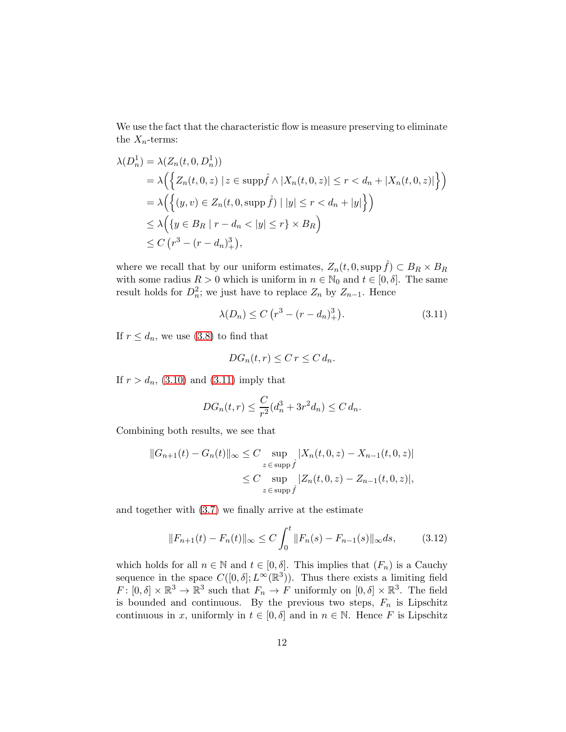We use the fact that the characteristic flow is measure preserving to eliminate the  $X_n$ -terms:

$$
\lambda(D_n^1) = \lambda(Z_n(t, 0, D_n^1))
$$
  
=  $\lambda \Big( \Big\{ Z_n(t, 0, z) \mid z \in \text{supp} \hat{f} \wedge |X_n(t, 0, z)| \le r < d_n + |X_n(t, 0, z)| \Big\} \Big)$   
=  $\lambda \Big( \Big\{ (y, v) \in Z_n(t, 0, \text{supp} \hat{f}) \mid |y| \le r < d_n + |y| \Big\} \Big)$   
 $\le \lambda \Big( \{ y \in B_R \mid r - d_n < |y| \le r \} \times B_R \Big)$   
 $\le C \left( r^3 - (r - d_n)^3 \right),$ 

where we recall that by our uniform estimates,  $Z_n(t, 0, \text{supp }\hat{f}) \subset B_R \times B_R$ with some radius  $R > 0$  which is uniform in  $n \in \mathbb{N}_0$  and  $t \in [0, \delta]$ . The same result holds for  $D_n^2$ ; we just have to replace  $Z_n$  by  $Z_{n-1}$ . Hence

$$
\lambda(D_n) \le C \left( r^3 - (r - d_n)_+^3 \right). \tag{3.11}
$$

If  $r \leq d_n$ , we use [\(3.8\)](#page-9-0) to find that

<span id="page-11-0"></span>
$$
DG_n(t,r) \leq C r \leq C d_n.
$$

If  $r > d_n$ , [\(3.10\)](#page-10-0) and [\(3.11\)](#page-11-0) imply that

$$
DG_n(t,r) \le \frac{C}{r^2}(d_n^3 + 3r^2d_n) \le C d_n.
$$

Combining both results, we see that

$$
||G_{n+1}(t) - G_n(t)||_{\infty} \le C \sup_{z \in \text{supp } \hat{f}} |X_n(t, 0, z) - X_{n-1}(t, 0, z)|
$$
  

$$
\le C \sup_{z \in \text{supp } \hat{f}} |Z_n(t, 0, z) - Z_{n-1}(t, 0, z)|,
$$

and together with [\(3.7\)](#page-9-1) we finally arrive at the estimate

<span id="page-11-1"></span>
$$
||F_{n+1}(t) - F_n(t)||_{\infty} \le C \int_0^t ||F_n(s) - F_{n-1}(s)||_{\infty} ds, \qquad (3.12)
$$

which holds for all  $n \in \mathbb{N}$  and  $t \in [0, \delta]$ . This implies that  $(F_n)$  is a Cauchy sequence in the space  $C([0, \delta]; L^{\infty}(\mathbb{R}^{3}))$ . Thus there exists a limiting field  $F: [0, \delta] \times \mathbb{R}^3 \to \mathbb{R}^3$  such that  $F_n \to F$  uniformly on  $[0, \delta] \times \mathbb{R}^3$ . The field is bounded and continuous. By the previous two steps,  $F_n$  is Lipschitz continuous in x, uniformly in  $t \in [0, \delta]$  and in  $n \in \mathbb{N}$ . Hence F is Lipschitz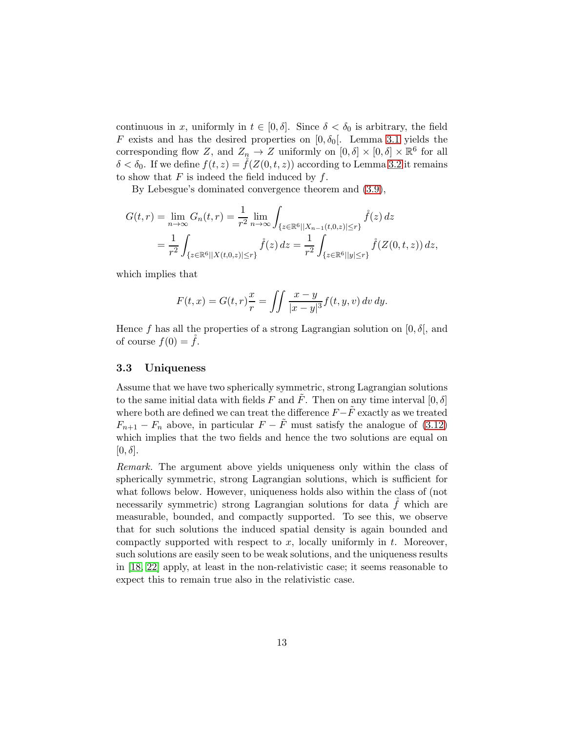continuous in x, uniformly in  $t \in [0, \delta]$ . Since  $\delta < \delta_0$  is arbitrary, the field F exists and has the desired properties on  $[0, \delta_0]$ . Lemma [3.1](#page-5-1) yields the corresponding flow Z, and  $Z_n \to Z$  uniformly on  $[0, \delta] \times [0, \delta] \times \mathbb{R}^6$  for all  $\delta < \delta_0$ . If we define  $f(t, z) = f(Z(0, t, z))$  according to Lemma [3.2](#page-6-0) it remains to show that  $F$  is indeed the field induced by  $f$ .

By Lebesgue's dominated convergence theorem and [\(3.9\)](#page-10-1),

$$
G(t,r) = \lim_{n \to \infty} G_n(t,r) = \frac{1}{r^2} \lim_{n \to \infty} \int_{\{z \in \mathbb{R}^6 | |X_{n-1}(t,0,z)| \le r\}} \hat{f}(z) dz
$$
  
= 
$$
\frac{1}{r^2} \int_{\{z \in \mathbb{R}^6 | |X(t,0,z)| \le r\}} \hat{f}(z) dz = \frac{1}{r^2} \int_{\{z \in \mathbb{R}^6 | |y| \le r\}} \hat{f}(Z(0,t,z)) dz,
$$

which implies that

$$
F(t, x) = G(t, r)\frac{x}{r} = \iint \frac{x - y}{|x - y|^3} f(t, y, v) dv dy.
$$

Hence f has all the properties of a strong Lagrangian solution on  $[0, \delta]$ , and of course  $f(0) = \dot{f}$ .

#### 3.3 Uniqueness

Assume that we have two spherically symmetric, strong Lagrangian solutions to the same initial data with fields F and F. Then on any time interval  $[0, \delta]$ where both are defined we can treat the difference  $F-\tilde{F}$  exactly as we treated  $F_{n+1} - F_n$  above, in particular  $F - \tilde{F}$  must satisfy the analogue of [\(3.12\)](#page-11-1) which implies that the two fields and hence the two solutions are equal on  $[0, \delta]$ .

Remark. The argument above yields uniqueness only within the class of spherically symmetric, strong Lagrangian solutions, which is sufficient for what follows below. However, uniqueness holds also within the class of (not necessarily symmetric) strong Lagrangian solutions for data  $f$  which are measurable, bounded, and compactly supported. To see this, we observe that for such solutions the induced spatial density is again bounded and compactly supported with respect to  $x$ , locally uniformly in  $t$ . Moreover, such solutions are easily seen to be weak solutions, and the uniqueness results in [\[18,](#page-16-11) [22\]](#page-17-3) apply, at least in the non-relativistic case; it seems reasonable to expect this to remain true also in the relativistic case.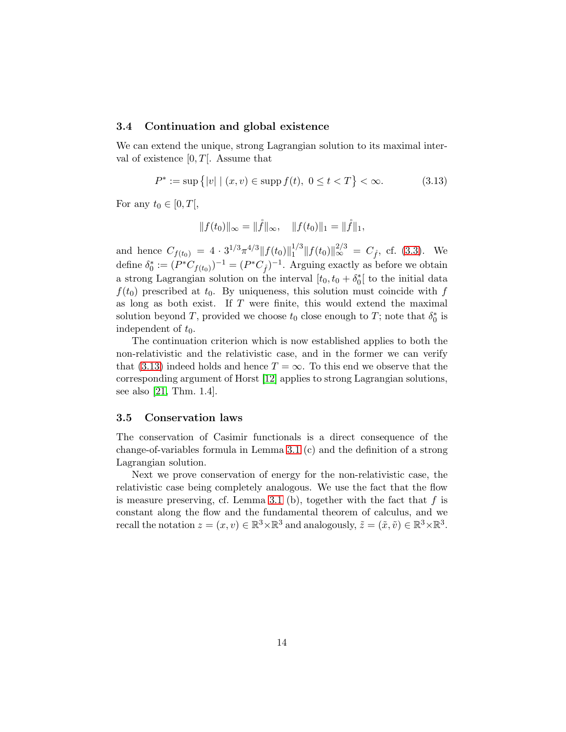### 3.4 Continuation and global existence

We can extend the unique, strong Lagrangian solution to its maximal interval of existence  $[0, T]$ . Assume that

$$
P^* := \sup\{|v| \mid (x, v) \in \text{supp } f(t), \ 0 \le t < T\} < \infty. \tag{3.13}
$$

For any  $t_0 \in [0, T],$ 

<span id="page-13-0"></span>
$$
||f(t_0)||_{\infty} = ||\mathring{f}||_{\infty}, \quad ||f(t_0)||_1 = ||\mathring{f}||_1,
$$

and hence  $C_{f(t_0)} = 4 \cdot 3^{1/3} \pi^{4/3} ||f(t_0)||_1^{1/3}$  $\int_1^{1/3} ||f(t_0)||_{\infty}^{2/3} = C_{\hat{f}}$ , cf. [\(3.3\)](#page-8-4). We define  $\delta_0^* := (P^*C_{f(t_0)})^{-1} = (P^*C_{\hat{f}})^{-1}$ . Arguing exactly as before we obtain a strong Lagrangian solution on the interval  $[t_0, t_0 + \delta_0^*]$  to the initial data  $f(t_0)$  prescribed at  $t_0$ . By uniqueness, this solution must coincide with f as long as both exist. If  $T$  were finite, this would extend the maximal solution beyond T, provided we choose  $t_0$  close enough to T; note that  $\delta_0^*$  is independent of  $t_0$ .

The continuation criterion which is now established applies to both the non-relativistic and the relativistic case, and in the former we can verify that [\(3.13\)](#page-13-0) indeed holds and hence  $T = \infty$ . To this end we observe that the corresponding argument of Horst [\[12\]](#page-16-12) applies to strong Lagrangian solutions, see also [\[21,](#page-17-1) Thm. 1.4].

#### 3.5 Conservation laws

The conservation of Casimir functionals is a direct consequence of the change-of-variables formula in Lemma [3.1](#page-5-1) (c) and the definition of a strong Lagrangian solution.

Next we prove conservation of energy for the non-relativistic case, the relativistic case being completely analogous. We use the fact that the flow is measure preserving, cf. Lemma [3.1](#page-5-1) (b), together with the fact that  $f$  is constant along the flow and the fundamental theorem of calculus, and we recall the notation  $z = (x, v) \in \mathbb{R}^3 \times \mathbb{R}^3$  and analogously,  $\tilde{z} = (\tilde{x}, \tilde{v}) \in \mathbb{R}^3 \times \mathbb{R}^3$ .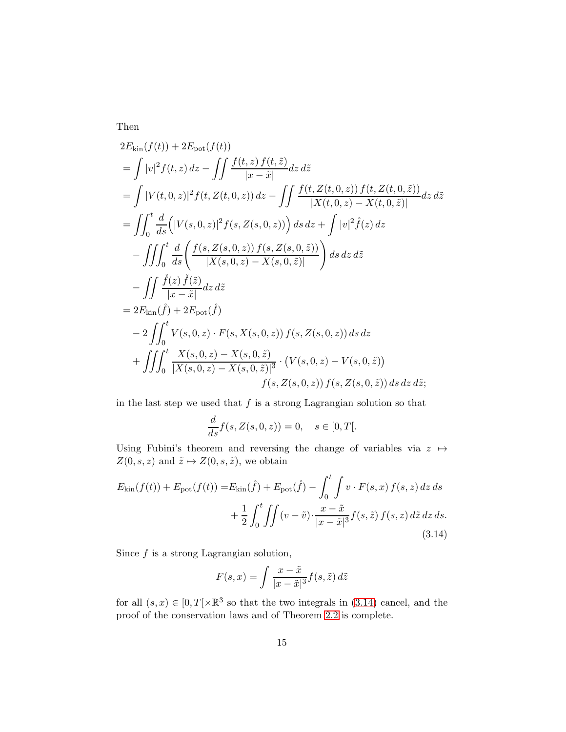Then

$$
2E_{\text{kin}}(f(t)) + 2E_{\text{pot}}(f(t))
$$
  
=  $\int |v|^2 f(t, z) dz - \int \int \frac{f(t, z) f(t, \tilde{z})}{|x - \tilde{x}|} dz d\tilde{z}$   
=  $\int |V(t, 0, z)|^2 f(t, Z(t, 0, z)) dz - \int \int \frac{f(t, Z(t, 0, z)) f(t, Z(t, 0, \tilde{z}))}{|X(t, 0, z) - X(t, 0, \tilde{z})|} dz d\tilde{z}$   
=  $\int \int_0^t \frac{d}{ds} (|V(s, 0, z)|^2 f(s, Z(s, 0, z))) ds dz + \int |v|^2 \hat{f}(z) dz$   
 $- \int \int \int_0^t \frac{d}{ds} \left( \frac{f(s, Z(s, 0, z)) f(s, Z(s, 0, \tilde{z}))}{|X(s, 0, z) - X(s, 0, \tilde{z})|} \right) ds dz d\tilde{z}$   
 $- \int \int \frac{\hat{f}(z) \hat{f}(\tilde{z})}{|x - \tilde{x}|} dz d\tilde{z}$   
=  $2E_{\text{kin}}(\hat{f}) + 2E_{\text{pot}}(\hat{f})$   
 $- 2 \int \int_0^t V(s, 0, z) \cdot F(s, X(s, 0, z)) f(s, Z(s, 0, z)) ds dz$   
+  $\int \int \int_0^t \frac{X(s, 0, z) - X(s, 0, \tilde{z})}{|X(s, 0, z) - X(s, 0, \tilde{z})|^3} \cdot (V(s, 0, z) - V(s, 0, \tilde{z})) ds dz d\tilde{z};$   
 $f(s, Z(s, 0, z)) f(s, Z(s, 0, \tilde{z})) ds dz d\tilde{z};$ 

in the last step we used that  $f$  is a strong Lagrangian solution so that

$$
\frac{d}{ds}f(s, Z(s, 0, z)) = 0, \quad s \in [0, T].
$$

Using Fubini's theorem and reversing the change of variables via  $z \mapsto$  $Z(0, s, z)$  and  $\tilde{z} \mapsto Z(0, s, \tilde{z}),$  we obtain

$$
E_{\text{kin}}(f(t)) + E_{\text{pot}}(f(t)) = E_{\text{kin}}(\mathring{f}) + E_{\text{pot}}(\mathring{f}) - \int_0^t \int v \cdot F(s, x) f(s, z) dz ds + \frac{1}{2} \int_0^t \int \int (v - \tilde{v}) \cdot \frac{x - \tilde{x}}{|x - \tilde{x}|^3} f(s, \tilde{z}) f(s, z) d\tilde{z} dz ds.
$$
\n(3.14)

Since  $f$  is a strong Lagrangian solution,

<span id="page-14-0"></span>
$$
F(s,x) = \int \frac{x - \tilde{x}}{|x - \tilde{x}|^3} f(s, \tilde{z}) d\tilde{z}
$$

for all  $(s, x) \in [0, T[\times \mathbb{R}^3 \text{ so that the two integrals in (3.14) cancel, and the$  $(s, x) \in [0, T[\times \mathbb{R}^3 \text{ so that the two integrals in (3.14) cancel, and the$  $(s, x) \in [0, T[\times \mathbb{R}^3 \text{ so that the two integrals in (3.14) cancel, and the$ proof of the conservation laws and of Theorem [2.2](#page-5-2) is complete.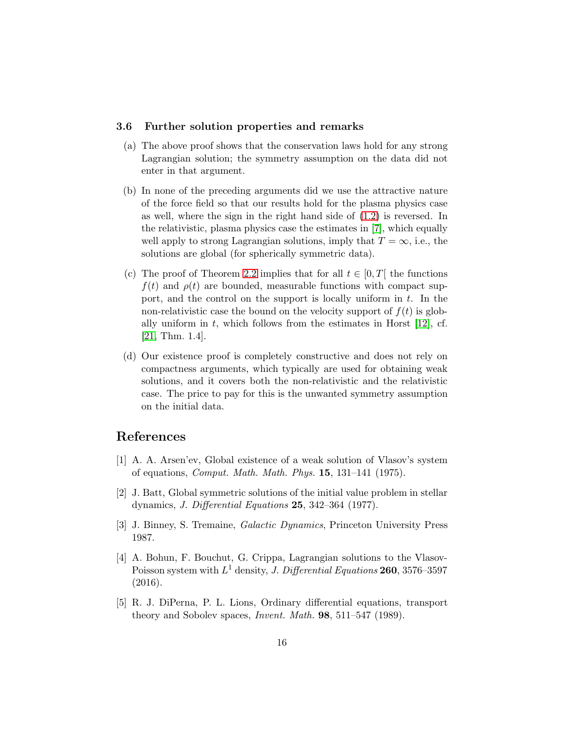#### 3.6 Further solution properties and remarks

- (a) The above proof shows that the conservation laws hold for any strong Lagrangian solution; the symmetry assumption on the data did not enter in that argument.
- (b) In none of the preceding arguments did we use the attractive nature of the force field so that our results hold for the plasma physics case as well, where the sign in the right hand side of [\(1.2\)](#page-1-0) is reversed. In the relativistic, plasma physics case the estimates in [\[7\]](#page-16-6), which equally well apply to strong Lagrangian solutions, imply that  $T = \infty$ , i.e., the solutions are global (for spherically symmetric data).
- (c) The proof of Theorem [2.2](#page-5-2) implies that for all  $t \in [0, T]$  the functions  $f(t)$  and  $\rho(t)$  are bounded, measurable functions with compact support, and the control on the support is locally uniform in  $t$ . In the non-relativistic case the bound on the velocity support of  $f(t)$  is globally uniform in t, which follows from the estimates in Horst  $[12]$ , cf. [\[21,](#page-17-1) Thm. 1.4].
- (d) Our existence proof is completely constructive and does not rely on compactness arguments, which typically are used for obtaining weak solutions, and it covers both the non-relativistic and the relativistic case. The price to pay for this is the unwanted symmetry assumption on the initial data.

## <span id="page-15-2"></span>References

- [1] A. A. Arsen'ev, Global existence of a weak solution of Vlasov's system of equations, Comput. Math. Math. Phys. 15, 131–141 (1975).
- <span id="page-15-1"></span>[2] J. Batt, Global symmetric solutions of the initial value problem in stellar dynamics, J. Differential Equations 25, 342–364 (1977).
- <span id="page-15-3"></span><span id="page-15-0"></span>[3] J. Binney, S. Tremaine, Galactic Dynamics, Princeton University Press 1987.
- [4] A. Bohun, F. Bouchut, G. Crippa, Lagrangian solutions to the Vlasov-Poisson system with  $L^1$  density, *J. Differential Equations* **260**, 3576–3597 (2016).
- <span id="page-15-4"></span>[5] R. J. DiPerna, P. L. Lions, Ordinary differential equations, transport theory and Sobolev spaces, Invent. Math. 98, 511–547 (1989).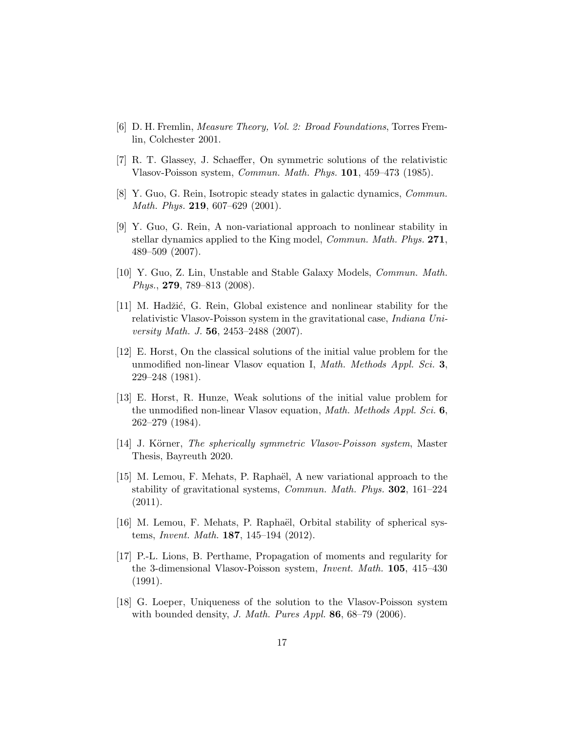- <span id="page-16-10"></span><span id="page-16-6"></span>[6] D. H. Fremlin, Measure Theory, Vol. 2: Broad Foundations, Torres Fremlin, Colchester 2001.
- <span id="page-16-0"></span>[7] R. T. Glassey, J. Schaeffer, On symmetric solutions of the relativistic Vlasov-Poisson system, Commun. Math. Phys. 101, 459–473 (1985).
- <span id="page-16-1"></span>[8] Y. Guo, G. Rein, Isotropic steady states in galactic dynamics, Commun. Math. Phys. 219, 607–629 (2001).
- [9] Y. Guo, G. Rein, A non-variational approach to nonlinear stability in stellar dynamics applied to the King model, *Commun. Math. Phys.* 271, 489–509 (2007).
- <span id="page-16-2"></span>[10] Y. Guo, Z. Lin, Unstable and Stable Galaxy Models, Commun. Math. Phys., 279, 789–813 (2008).
- <span id="page-16-3"></span>[11] M. Hadžić, G. Rein, Global existence and nonlinear stability for the relativistic Vlasov-Poisson system in the gravitational case, Indiana University Math. J. 56, 2453–2488 (2007).
- <span id="page-16-12"></span>[12] E. Horst, On the classical solutions of the initial value problem for the unmodified non-linear Vlasov equation I, Math. Methods Appl. Sci. 3, 229–248 (1981).
- <span id="page-16-8"></span>[13] E. Horst, R. Hunze, Weak solutions of the initial value problem for the unmodified non-linear Vlasov equation, Math. Methods Appl. Sci. 6, 262–279 (1984).
- <span id="page-16-9"></span><span id="page-16-4"></span>[14] J. Körner, *The spherically symmetric Vlasov-Poisson system*, Master Thesis, Bayreuth 2020.
- [15] M. Lemou, F. Mehats, P. Raphaël, A new variational approach to the stability of gravitational systems, Commun. Math. Phys. 302, 161–224  $(2011).$
- <span id="page-16-5"></span>[16] M. Lemou, F. Mehats, P. Raphaël, Orbital stability of spherical systems, Invent. Math. 187, 145–194 (2012).
- <span id="page-16-7"></span>[17] P.-L. Lions, B. Perthame, Propagation of moments and regularity for the 3-dimensional Vlasov-Poisson system, Invent. Math. 105, 415–430 (1991).
- <span id="page-16-11"></span>[18] G. Loeper, Uniqueness of the solution to the Vlasov-Poisson system with bounded density, *J. Math. Pures Appl.* **86**,  $68-79$  (2006).